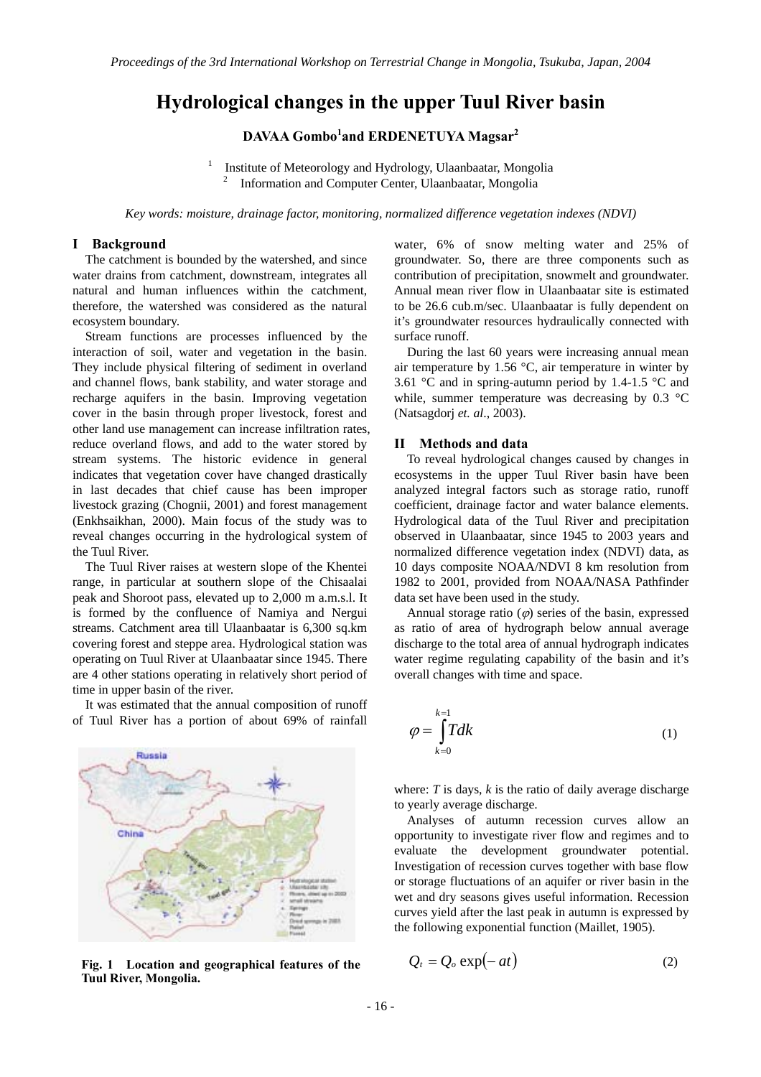# **Hydrological changes in the upper Tuul River basin**

**DAVAA Gombo<sup>1</sup> and ERDENETUYA Magsar2**

1 Institute of Meteorology and Hydrology, Ulaanbaatar, Mongolia 2 Information and Computer Center, Ulaanbaatar, Mongolia

*Key words: moisture, drainage factor, monitoring, normalized difference vegetation indexes (NDVI)* 

#### **I Background**

The catchment is bounded by the watershed, and since water drains from catchment, downstream, integrates all natural and human influences within the catchment, therefore, the watershed was considered as the natural ecosystem boundary.

Stream functions are processes influenced by the interaction of soil, water and vegetation in the basin. They include physical filtering of sediment in overland and channel flows, bank stability, and water storage and recharge aquifers in the basin. Improving vegetation cover in the basin through proper livestock, forest and other land use management can increase infiltration rates, reduce overland flows, and add to the water stored by stream systems. The historic evidence in general indicates that vegetation cover have changed drastically in last decades that chief cause has been improper livestock grazing (Chognii, 2001) and forest management (Enkhsaikhan, 2000). Main focus of the study was to reveal changes occurring in the hydrological system of the Tuul River.

The Tuul River raises at western slope of the Khentei range, in particular at southern slope of the Chisaalai peak and Shoroot pass, elevated up to 2,000 m a.m.s.l. It is formed by the confluence of Namiya and Nergui streams. Catchment area till Ulaanbaatar is 6,300 sq.km covering forest and steppe area. Hydrological station was operating on Tuul River at Ulaanbaatar since 1945. There are 4 other stations operating in relatively short period of time in upper basin of the river.

It was estimated that the annual composition of runoff of Tuul River has a portion of about 69% of rainfall



**Fig. 1** Location and geographical features of the **Tuul River, Mongolia.** 

water, 6% of snow melting water and 25% of groundwater. So, there are three components such as contribution of precipitation, snowmelt and groundwater. Annual mean river flow in Ulaanbaatar site is estimated to be 26.6 cub.m/sec. Ulaanbaatar is fully dependent on it's groundwater resources hydraulically connected with surface runoff.

During the last 60 years were increasing annual mean air temperature by 1.56 °C, air temperature in winter by 3.61 °C and in spring-autumn period by 1.4-1.5 °C and while, summer temperature was decreasing by 0.3 °C (Natsagdorj *et. al*., 2003).

## **II Methods and data**

 To reveal hydrological changes caused by changes in ecosystems in the upper Tuul River basin have been analyzed integral factors such as storage ratio, runoff coefficient, drainage factor and water balance elements. Hydrological data of the Tuul River and precipitation observed in Ulaanbaatar, since 1945 to 2003 years and normalized difference vegetation index (NDVI) data, as 10 days composite NOAA/NDVI 8 km resolution from 1982 to 2001, provided from NOAA/NASA Pathfinder data set have been used in the study.

Annual storage ratio  $(\varphi)$  series of the basin, expressed as ratio of area of hydrograph below annual average discharge to the total area of annual hydrograph indicates water regime regulating capability of the basin and it's overall changes with time and space.

$$
\varphi = \int\limits_{k=0}^{k=1} T dk
$$
 (1)

where:  $T$  is days,  $k$  is the ratio of daily average discharge to yearly average discharge.

Analyses of autumn recession curves allow an opportunity to investigate river flow and regimes and to evaluate the development groundwater potential. Investigation of recession curves together with base flow or storage fluctuations of an aquifer or river basin in the wet and dry seasons gives useful information. Recession curves yield after the last peak in autumn is expressed by the following exponential function (Maillet, 1905).

$$
Q_t = Q_o \exp(-at) \tag{2}
$$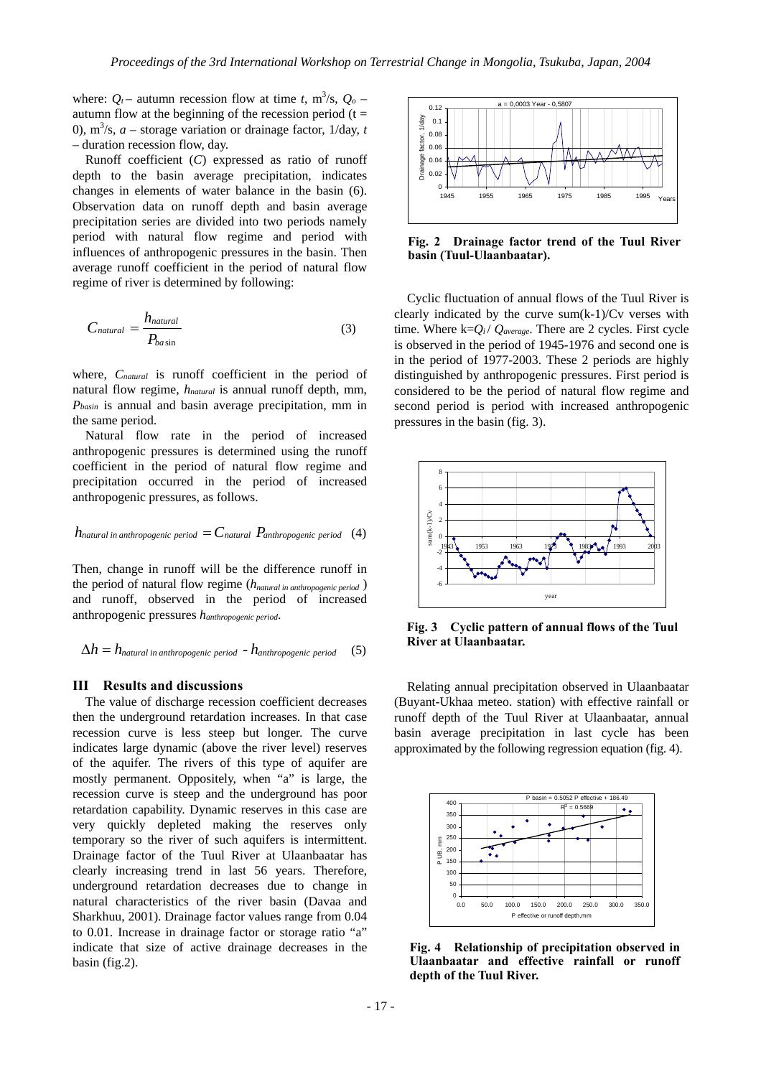where:  $Q_t$  – autumn recession flow at time *t*, m<sup>3</sup>/s,  $Q_o$  – autumn flow at the beginning of the recession period  $(t =$ 0),  $\text{m}^3$ /s, *a* – storage variation or drainage factor, 1/day, *t* – duration recession flow, day.

Runoff coefficient (*C*) expressed as ratio of runoff depth to the basin average precipitation, indicates changes in elements of water balance in the basin (6). Observation data on runoff depth and basin average precipitation series are divided into two periods namely period with natural flow regime and period with influences of anthropogenic pressures in the basin. Then average runoff coefficient in the period of natural flow regime of river is determined by following:

$$
C_{natural} = \frac{h_{natural}}{P_{basin}}
$$
 (3)

where, *Cnatural* is runoff coefficient in the period of natural flow regime, *hnatural* is annual runoff depth, mm, *Pbasin* is annual and basin average precipitation, mm in the same period.

Natural flow rate in the period of increased anthropogenic pressures is determined using the runoff coefficient in the period of natural flow regime and precipitation occurred in the period of increased anthropogenic pressures, as follows.

$$
h_{natural\ in\ anthropogenic\ period} = C_{natural}\ P_{anthropogenic\ period}
$$
 (4)

Then, change in runoff will be the difference runoff in the period of natural flow regime (*hnatural in anthropogenic period* ) and runoff, observed in the period of increased anthropogenic pressures *hanthropogenic period*.

$$
\Delta h = h_{natural\ in\ anthropogenic\ period} - h_{anthropogenic\ period}
$$
 (5)

## **III Results and discussions**

The value of discharge recession coefficient decreases then the underground retardation increases. In that case recession curve is less steep but longer. The curve indicates large dynamic (above the river level) reserves of the aquifer. The rivers of this type of aquifer are mostly permanent. Oppositely, when "a" is large, the recession curve is steep and the underground has poor retardation capability. Dynamic reserves in this case are very quickly depleted making the reserves only temporary so the river of such aquifers is intermittent. Drainage factor of the Tuul River at Ulaanbaatar has clearly increasing trend in last 56 years. Therefore, underground retardation decreases due to change in natural characteristics of the river basin (Davaa and Sharkhuu, 2001). Drainage factor values range from 0.04 to 0.01. Increase in drainage factor or storage ratio "a" indicate that size of active drainage decreases in the basin (fig.2).



**Fig. 2 Drainage factor trend of the Tuul River basin (Tuul-Ulaanbaatar).** 

Cyclic fluctuation of annual flows of the Tuul River is clearly indicated by the curve  $sum(k-1)/Cv$  verses with time. Where  $k=Q_i$  /  $Q_{average}$ . There are 2 cycles. First cycle is observed in the period of 1945-1976 and second one is in the period of 1977-2003. These 2 periods are highly distinguished by anthropogenic pressures. First period is considered to be the period of natural flow regime and second period is period with increased anthropogenic pressures in the basin (fig. 3).



**Fig. 3 Cyclic pattern of annual flows of the Tuul River at Ulaanbaatar.**

Relating annual precipitation observed in Ulaanbaatar (Buyant-Ukhaa meteo. station) with effective rainfall or runoff depth of the Tuul River at Ulaanbaatar, annual basin average precipitation in last cycle has been approximated by the following regression equation (fig. 4).



**Fig. 4 Relationship of precipitation observed in Ulaanbaatar and effective rainfall or runoff depth of the Tuul River.**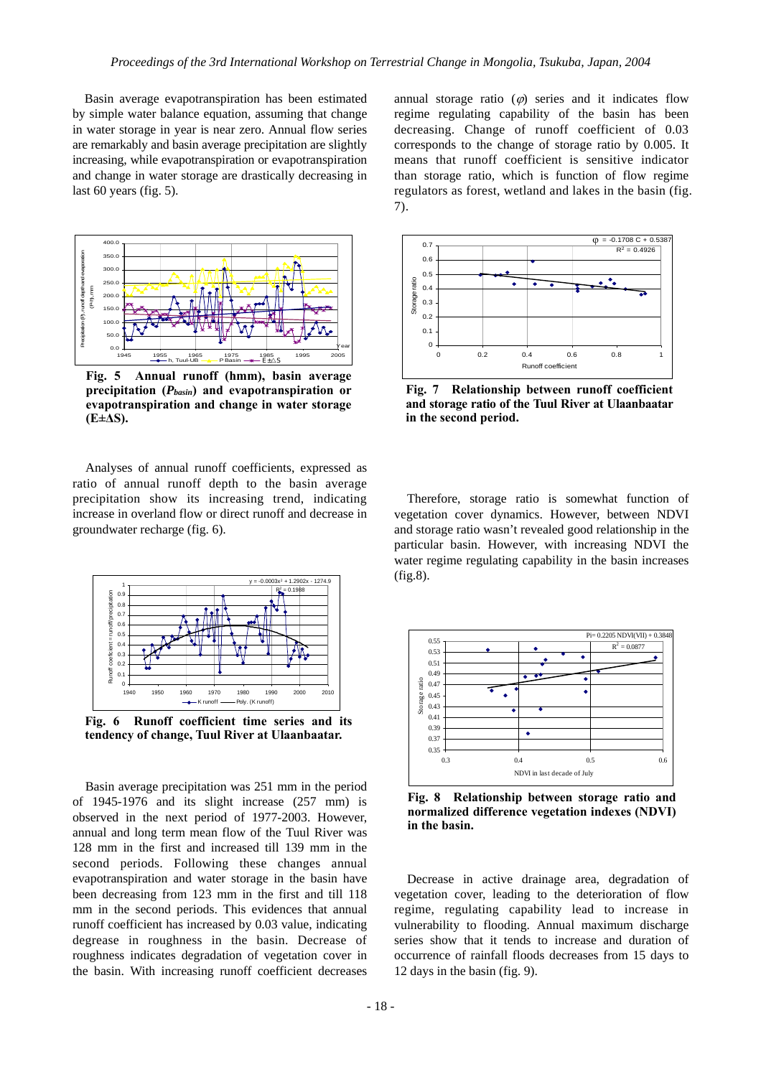Basin average evapotranspiration has been estimated by simple water balance equation, assuming that change in water storage in year is near zero. Annual flow series are remarkably and basin average precipitation are slightly increasing, while evapotranspiration or evapotranspiration and change in water storage are drastically decreasing in last 60 years (fig. 5).



**Fig. 5 Annual runoff (hmm), basin average precipitation (***Pbasin***) and evapotranspiration or evapotranspiration and change in water storage (E±∆S).**

Analyses of annual runoff coefficients, expressed as ratio of annual runoff depth to the basin average precipitation show its increasing trend, indicating increase in overland flow or direct runoff and decrease in groundwater recharge (fig. 6).



**Fig. 6 Runoff coefficient time series and its tendency of change, Tuul River at Ulaanbaatar.**

Basin average precipitation was 251 mm in the period of 1945-1976 and its slight increase (257 mm) is observed in the next period of 1977-2003. However, annual and long term mean flow of the Tuul River was 128 mm in the first and increased till 139 mm in the second periods. Following these changes annual evapotranspiration and water storage in the basin have been decreasing from 123 mm in the first and till 118 mm in the second periods. This evidences that annual runoff coefficient has increased by 0.03 value, indicating degrease in roughness in the basin. Decrease of roughness indicates degradation of vegetation cover in the basin. With increasing runoff coefficient decreases

annual storage ratio  $(\varphi)$  series and it indicates flow regime regulating capability of the basin has been decreasing. Change of runoff coefficient of 0.03 corresponds to the change of storage ratio by 0.005. It means that runoff coefficient is sensitive indicator than storage ratio, which is function of flow regime regulators as forest, wetland and lakes in the basin (fig. 7).



**Fig. 7 Relationship between runoff coefficient and storage ratio of the Tuul River at Ulaanbaatar in the second period.**

Therefore, storage ratio is somewhat function of vegetation cover dynamics. However, between NDVI and storage ratio wasn't revealed good relationship in the particular basin. However, with increasing NDVI the water regime regulating capability in the basin increases (fig.8).



**Fig. 8 Relationship between storage ratio and normalized difference vegetation indexes (NDVI) in the basin.**

Decrease in active drainage area, degradation of vegetation cover, leading to the deterioration of flow regime, regulating capability lead to increase in vulnerability to flooding. Annual maximum discharge series show that it tends to increase and duration of occurrence of rainfall floods decreases from 15 days to 12 days in the basin (fig. 9).